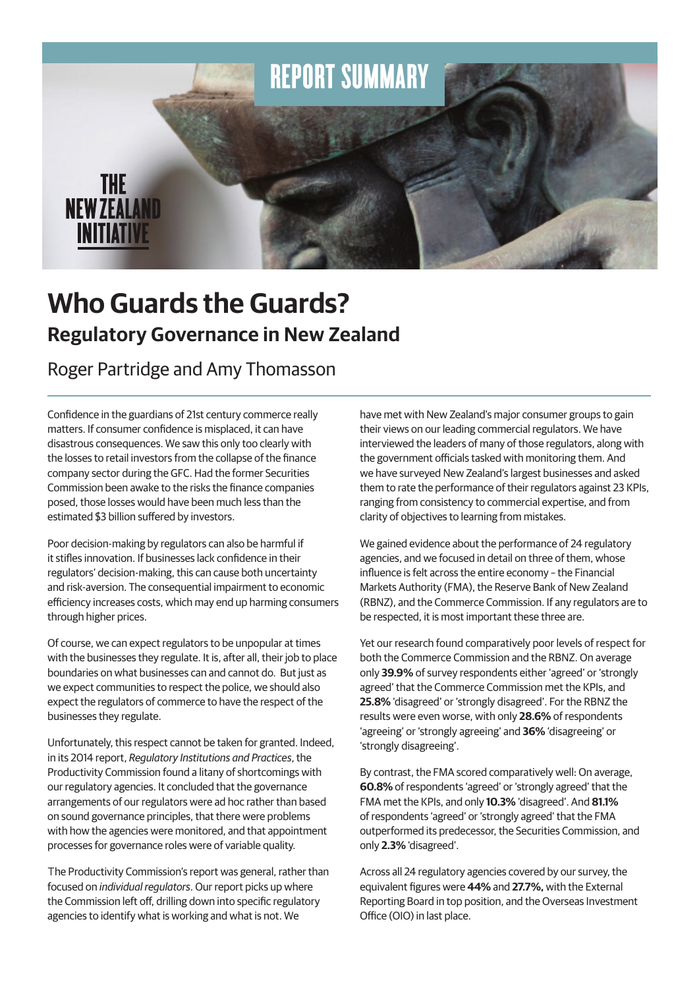

# **Who Guards the Guards? Regulatory Governance in New Zealand**

Roger Partridge and Amy Thomasson

Confidence in the guardians of 21st century commerce really matters. If consumer confidence is misplaced, it can have disastrous consequences. We saw this only too clearly with the losses to retail investors from the collapse of the finance company sector during the GFC. Had the former Securities Commission been awake to the risks the finance companies posed, those losses would have been much less than the estimated \$3 billion suffered by investors.

Poor decision-making by regulators can also be harmful if it stifles innovation. If businesses lack confidence in their regulators' decision-making, this can cause both uncertainty and risk-aversion. The consequential impairment to economic efficiency increases costs, which may end up harming consumers through higher prices.

Of course, we can expect regulators to be unpopular at times with the businesses they regulate. It is, after all, their job to place boundaries on what businesses can and cannot do. But just as we expect communities to respect the police, we should also expect the regulators of commerce to have the respect of the businesses they regulate.

Unfortunately, this respect cannot be taken for granted. Indeed, in its 2014 report, *Regulatory Institutions and Practices*, the Productivity Commission found a litany of shortcomings with our regulatory agencies. It concluded that the governance arrangements of our regulators were ad hoc rather than based on sound governance principles, that there were problems with how the agencies were monitored, and that appointment processes for governance roles were of variable quality.

The Productivity Commission's report was general, rather than focused on *individual regulators*. Our report picks up where the Commission left off, drilling down into specific regulatory agencies to identify what is working and what is not. We

have met with New Zealand's major consumer groups to gain their views on our leading commercial regulators. We have interviewed the leaders of many of those regulators, along with the government officials tasked with monitoring them. And we have surveyed New Zealand's largest businesses and asked them to rate the performance of their regulators against 23 KPIs, ranging from consistency to commercial expertise, and from clarity of objectives to learning from mistakes.

We gained evidence about the performance of 24 regulatory agencies, and we focused in detail on three of them, whose influence is felt across the entire economy – the Financial Markets Authority (FMA), the Reserve Bank of New Zealand (RBNZ), and the Commerce Commission. If any regulators are to be respected, it is most important these three are.

Yet our research found comparatively poor levels of respect for both the Commerce Commission and the RBNZ. On average only **39.9%** of survey respondents either 'agreed' or 'strongly agreed' that the Commerce Commission met the KPIs, and **25.8%** 'disagreed' or 'strongly disagreed'. For the RBNZ the results were even worse, with only **28.6%** of respondents 'agreeing' or 'strongly agreeing' and **36%** 'disagreeing' or 'strongly disagreeing'.

By contrast, the FMA scored comparatively well: On average, **60.8%** of respondents 'agreed' or 'strongly agreed' that the FMA met the KPIs, and only **10.3%** 'disagreed'. And **81.1%** of respondents 'agreed' or 'strongly agreed' that the FMA outperformed its predecessor, the Securities Commission, and only **2.3%** 'disagreed'.

Across all 24 regulatory agencies covered by our survey, the equivalent figures were **44%** and **27.7%,** with the External Reporting Board in top position, and the Overseas Investment Office (OIO) in last place.